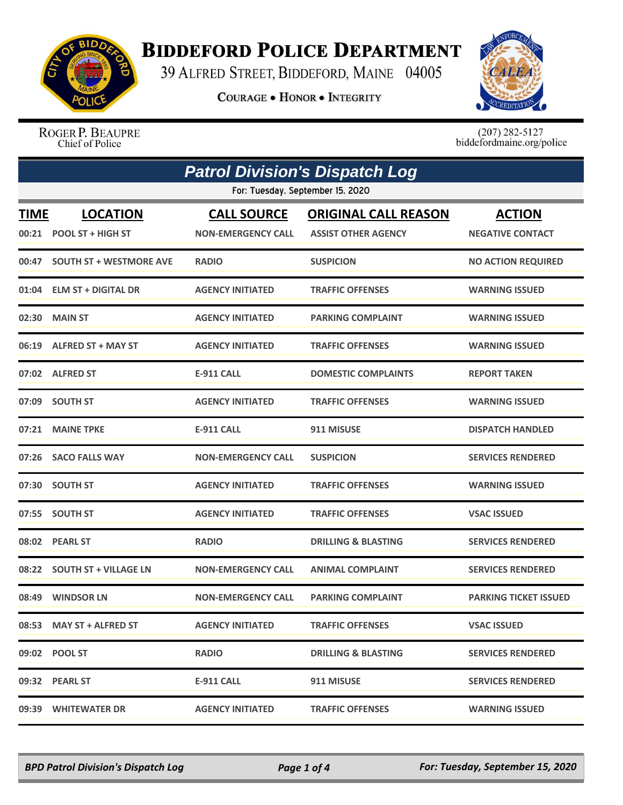

## **BIDDEFORD POLICE DEPARTMENT**

39 ALFRED STREET, BIDDEFORD, MAINE 04005

**COURAGE . HONOR . INTEGRITY** 



ROGER P. BEAUPRE Chief of Police

 $(207)$  282-5127<br>biddefordmaine.org/police

| <b>Patrol Division's Dispatch Log</b> |                                             |                                                 |                                                           |                                          |
|---------------------------------------|---------------------------------------------|-------------------------------------------------|-----------------------------------------------------------|------------------------------------------|
|                                       |                                             | For: Tuesday, September 15, 2020                |                                                           |                                          |
| <b>TIME</b><br>00:21                  | <b>LOCATION</b><br><b>POOL ST + HIGH ST</b> | <b>CALL SOURCE</b><br><b>NON-EMERGENCY CALL</b> | <b>ORIGINAL CALL REASON</b><br><b>ASSIST OTHER AGENCY</b> | <b>ACTION</b><br><b>NEGATIVE CONTACT</b> |
| 00:47                                 | <b>SOUTH ST + WESTMORE AVE</b>              | <b>RADIO</b>                                    | <b>SUSPICION</b>                                          | <b>NO ACTION REQUIRED</b>                |
| 01:04                                 | <b>ELM ST + DIGITAL DR</b>                  | <b>AGENCY INITIATED</b>                         | <b>TRAFFIC OFFENSES</b>                                   | <b>WARNING ISSUED</b>                    |
| 02:30                                 | <b>MAIN ST</b>                              | <b>AGENCY INITIATED</b>                         | <b>PARKING COMPLAINT</b>                                  | <b>WARNING ISSUED</b>                    |
|                                       | 06:19 ALFRED ST + MAY ST                    | <b>AGENCY INITIATED</b>                         | <b>TRAFFIC OFFENSES</b>                                   | <b>WARNING ISSUED</b>                    |
|                                       | 07:02 ALFRED ST                             | <b>E-911 CALL</b>                               | <b>DOMESTIC COMPLAINTS</b>                                | <b>REPORT TAKEN</b>                      |
|                                       | 07:09 SOUTH ST                              | <b>AGENCY INITIATED</b>                         | <b>TRAFFIC OFFENSES</b>                                   | <b>WARNING ISSUED</b>                    |
| 07:21                                 | <b>MAINE TPKE</b>                           | <b>E-911 CALL</b>                               | 911 MISUSE                                                | <b>DISPATCH HANDLED</b>                  |
| 07:26                                 | <b>SACO FALLS WAY</b>                       | <b>NON-EMERGENCY CALL</b>                       | <b>SUSPICION</b>                                          | <b>SERVICES RENDERED</b>                 |
|                                       | 07:30 SOUTH ST                              | <b>AGENCY INITIATED</b>                         | <b>TRAFFIC OFFENSES</b>                                   | <b>WARNING ISSUED</b>                    |
| 07:55                                 | <b>SOUTH ST</b>                             | <b>AGENCY INITIATED</b>                         | <b>TRAFFIC OFFENSES</b>                                   | <b>VSAC ISSUED</b>                       |
|                                       | 08:02 PEARL ST                              | <b>RADIO</b>                                    | <b>DRILLING &amp; BLASTING</b>                            | <b>SERVICES RENDERED</b>                 |
| 08:22                                 | <b>SOUTH ST + VILLAGE LN</b>                | <b>NON-EMERGENCY CALL</b>                       | <b>ANIMAL COMPLAINT</b>                                   | <b>SERVICES RENDERED</b>                 |
| 08:49                                 | <b>WINDSOR LN</b>                           | <b>NON-EMERGENCY CALL</b>                       | <b>PARKING COMPLAINT</b>                                  | <b>PARKING TICKET ISSUED</b>             |
|                                       | 08:53 MAY ST + ALFRED ST                    | <b>AGENCY INITIATED</b>                         | <b>TRAFFIC OFFENSES</b>                                   | <b>VSAC ISSUED</b>                       |
|                                       | 09:02 POOL ST                               | <b>RADIO</b>                                    | <b>DRILLING &amp; BLASTING</b>                            | <b>SERVICES RENDERED</b>                 |
|                                       | 09:32 PEARL ST                              | <b>E-911 CALL</b>                               | 911 MISUSE                                                | <b>SERVICES RENDERED</b>                 |
|                                       | 09:39 WHITEWATER DR                         | <b>AGENCY INITIATED</b>                         | <b>TRAFFIC OFFENSES</b>                                   | <b>WARNING ISSUED</b>                    |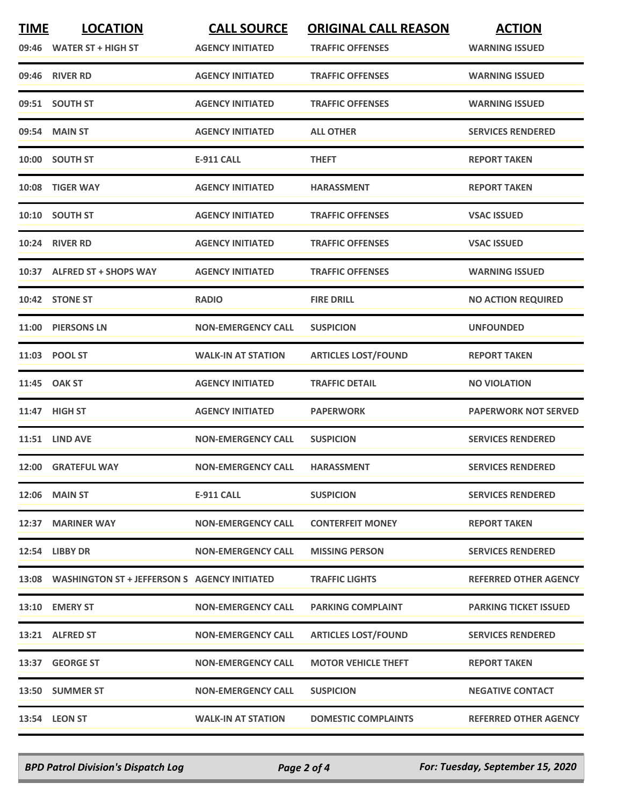| <b>TIME</b> | <b>LOCATION</b><br>09:46 WATER ST + HIGH ST        | <b>CALL SOURCE</b><br><b>AGENCY INITIATED</b> | <b>ORIGINAL CALL REASON</b><br><b>TRAFFIC OFFENSES</b> | <b>ACTION</b><br><b>WARNING ISSUED</b> |
|-------------|----------------------------------------------------|-----------------------------------------------|--------------------------------------------------------|----------------------------------------|
|             | 09:46 RIVER RD                                     | <b>AGENCY INITIATED</b>                       | <b>TRAFFIC OFFENSES</b>                                | <b>WARNING ISSUED</b>                  |
|             | 09:51 SOUTH ST                                     | <b>AGENCY INITIATED</b>                       | <b>TRAFFIC OFFENSES</b>                                | <b>WARNING ISSUED</b>                  |
|             | 09:54 MAIN ST                                      | <b>AGENCY INITIATED</b>                       | <b>ALL OTHER</b>                                       | <b>SERVICES RENDERED</b>               |
|             | 10:00 SOUTH ST                                     | <b>E-911 CALL</b>                             | <b>THEFT</b>                                           | <b>REPORT TAKEN</b>                    |
|             | 10:08 TIGER WAY                                    | <b>AGENCY INITIATED</b>                       | <b>HARASSMENT</b>                                      | <b>REPORT TAKEN</b>                    |
|             | 10:10 SOUTH ST                                     | <b>AGENCY INITIATED</b>                       | <b>TRAFFIC OFFENSES</b>                                | <b>VSAC ISSUED</b>                     |
|             | 10:24 RIVER RD                                     | <b>AGENCY INITIATED</b>                       | <b>TRAFFIC OFFENSES</b>                                | <b>VSAC ISSUED</b>                     |
|             | 10:37 ALFRED ST + SHOPS WAY                        | <b>AGENCY INITIATED</b>                       | <b>TRAFFIC OFFENSES</b>                                | <b>WARNING ISSUED</b>                  |
|             | 10:42 STONE ST                                     | <b>RADIO</b>                                  | <b>FIRE DRILL</b>                                      | <b>NO ACTION REQUIRED</b>              |
|             | 11:00 PIERSONS LN                                  | <b>NON-EMERGENCY CALL</b>                     | <b>SUSPICION</b>                                       | <b>UNFOUNDED</b>                       |
|             | 11:03 POOL ST                                      | <b>WALK-IN AT STATION</b>                     | <b>ARTICLES LOST/FOUND</b>                             | <b>REPORT TAKEN</b>                    |
|             | 11:45 OAK ST                                       | <b>AGENCY INITIATED</b>                       | <b>TRAFFIC DETAIL</b>                                  | <b>NO VIOLATION</b>                    |
|             | 11:47 HIGH ST                                      | <b>AGENCY INITIATED</b>                       | <b>PAPERWORK</b>                                       | <b>PAPERWORK NOT SERVED</b>            |
|             | <b>11:51 LIND AVE</b>                              | <b>NON-EMERGENCY CALL</b>                     | <b>SUSPICION</b>                                       | <b>SERVICES RENDERED</b>               |
|             | 12:00 GRATEFUL WAY                                 | <b>NON-EMERGENCY CALL</b>                     | <b>HARASSMENT</b>                                      | <b>SERVICES RENDERED</b>               |
|             | <b>12:06 MAIN ST</b>                               | <b>E-911 CALL</b>                             | <b>SUSPICION</b>                                       | <b>SERVICES RENDERED</b>               |
|             | 12:37 MARINER WAY                                  | <b>NON-EMERGENCY CALL</b>                     | <b>CONTERFEIT MONEY</b>                                | <b>REPORT TAKEN</b>                    |
|             | 12:54 LIBBY DR                                     | <b>NON-EMERGENCY CALL</b>                     | <b>MISSING PERSON</b>                                  | <b>SERVICES RENDERED</b>               |
|             | 13:08 WASHINGTON ST + JEFFERSON S AGENCY INITIATED |                                               | <b>TRAFFIC LIGHTS</b>                                  | <b>REFERRED OTHER AGENCY</b>           |
|             | 13:10 EMERY ST                                     | <b>NON-EMERGENCY CALL</b>                     | <b>PARKING COMPLAINT</b>                               | <b>PARKING TICKET ISSUED</b>           |
|             | 13:21 ALFRED ST                                    | <b>NON-EMERGENCY CALL</b>                     | <b>ARTICLES LOST/FOUND</b>                             | <b>SERVICES RENDERED</b>               |
|             | 13:37 GEORGE ST                                    | <b>NON-EMERGENCY CALL</b>                     | <b>MOTOR VEHICLE THEFT</b>                             | <b>REPORT TAKEN</b>                    |
|             | 13:50 SUMMER ST                                    | <b>NON-EMERGENCY CALL</b>                     | <b>SUSPICION</b>                                       | <b>NEGATIVE CONTACT</b>                |
|             | 13:54 LEON ST                                      | <b>WALK-IN AT STATION</b>                     | <b>DOMESTIC COMPLAINTS</b>                             | <b>REFERRED OTHER AGENCY</b>           |

*BPD Patrol Division's Dispatch Log Page 2 of 4 For: Tuesday, September 15, 2020*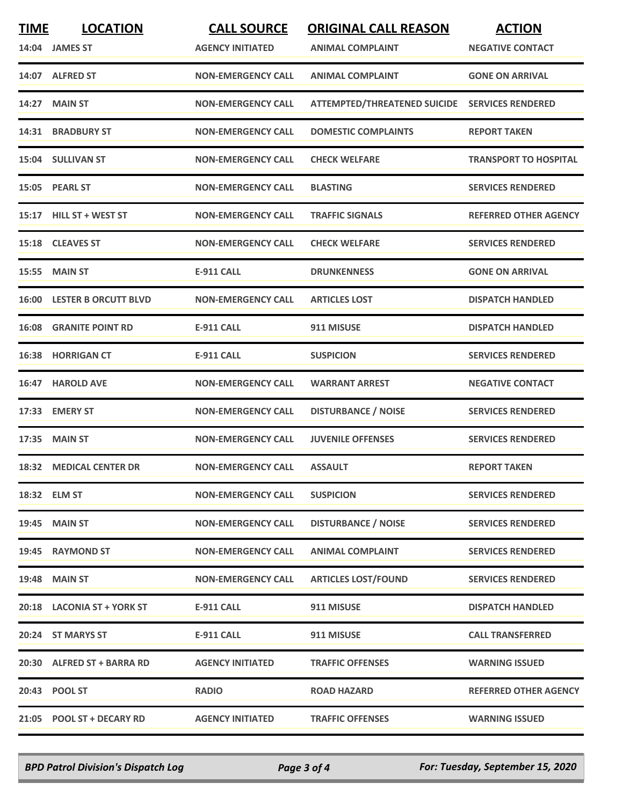| <b>TIME</b> | <b>LOCATION</b>                   | <b>CALL SOURCE</b>        | <b>ORIGINAL CALL REASON</b>                    | <b>ACTION</b>                |
|-------------|-----------------------------------|---------------------------|------------------------------------------------|------------------------------|
|             | 14:04 JAMES ST                    | <b>AGENCY INITIATED</b>   | <b>ANIMAL COMPLAINT</b>                        | <b>NEGATIVE CONTACT</b>      |
|             | 14:07 ALFRED ST                   | <b>NON-EMERGENCY CALL</b> | <b>ANIMAL COMPLAINT</b>                        | <b>GONE ON ARRIVAL</b>       |
| 14:27       | <b>MAIN ST</b>                    | <b>NON-EMERGENCY CALL</b> | ATTEMPTED/THREATENED SUICIDE SERVICES RENDERED |                              |
|             | 14:31 BRADBURY ST                 | <b>NON-EMERGENCY CALL</b> | <b>DOMESTIC COMPLAINTS</b>                     | <b>REPORT TAKEN</b>          |
|             | 15:04 SULLIVAN ST                 | <b>NON-EMERGENCY CALL</b> | <b>CHECK WELFARE</b>                           | <b>TRANSPORT TO HOSPITAL</b> |
|             | 15:05 PEARL ST                    | <b>NON-EMERGENCY CALL</b> | <b>BLASTING</b>                                | <b>SERVICES RENDERED</b>     |
|             | 15:17 HILL ST + WEST ST           | <b>NON-EMERGENCY CALL</b> | <b>TRAFFIC SIGNALS</b>                         | <b>REFERRED OTHER AGENCY</b> |
|             | 15:18 CLEAVES ST                  | <b>NON-EMERGENCY CALL</b> | <b>CHECK WELFARE</b>                           | <b>SERVICES RENDERED</b>     |
|             | <b>15:55 MAIN ST</b>              | <b>E-911 CALL</b>         | <b>DRUNKENNESS</b>                             | <b>GONE ON ARRIVAL</b>       |
|             | <b>16:00 LESTER B ORCUTT BLVD</b> | <b>NON-EMERGENCY CALL</b> | <b>ARTICLES LOST</b>                           | <b>DISPATCH HANDLED</b>      |
|             | <b>16:08 GRANITE POINT RD</b>     | <b>E-911 CALL</b>         | 911 MISUSE                                     | <b>DISPATCH HANDLED</b>      |
|             | 16:38 HORRIGAN CT                 | <b>E-911 CALL</b>         | <b>SUSPICION</b>                               | <b>SERVICES RENDERED</b>     |
| 16:47       | <b>HAROLD AVE</b>                 | <b>NON-EMERGENCY CALL</b> | <b>WARRANT ARREST</b>                          | <b>NEGATIVE CONTACT</b>      |
|             | 17:33 EMERY ST                    | <b>NON-EMERGENCY CALL</b> | <b>DISTURBANCE / NOISE</b>                     | <b>SERVICES RENDERED</b>     |
|             | 17:35 MAIN ST                     | <b>NON-EMERGENCY CALL</b> | <b>JUVENILE OFFENSES</b>                       | <b>SERVICES RENDERED</b>     |
|             | <b>18:32 MEDICAL CENTER DR</b>    | <b>NON-EMERGENCY CALL</b> | <b>ASSAULT</b>                                 | <b>REPORT TAKEN</b>          |
|             | 18:32 ELM ST                      | <b>NON-EMERGENCY CALL</b> | <b>SUSPICION</b>                               | <b>SERVICES RENDERED</b>     |
|             | <b>19:45 MAIN ST</b>              | <b>NON-EMERGENCY CALL</b> | <b>DISTURBANCE / NOISE</b>                     | <b>SERVICES RENDERED</b>     |
|             | 19:45 RAYMOND ST                  | <b>NON-EMERGENCY CALL</b> | <b>ANIMAL COMPLAINT</b>                        | <b>SERVICES RENDERED</b>     |
|             | <b>19:48 MAIN ST</b>              | <b>NON-EMERGENCY CALL</b> | <b>ARTICLES LOST/FOUND</b>                     | <b>SERVICES RENDERED</b>     |
|             | 20:18 LACONIA ST + YORK ST        | <b>E-911 CALL</b>         | 911 MISUSE                                     | <b>DISPATCH HANDLED</b>      |
|             | 20:24 ST MARYS ST                 | <b>E-911 CALL</b>         | 911 MISUSE                                     | <b>CALL TRANSFERRED</b>      |
|             | 20:30 ALFRED ST + BARRA RD        | <b>AGENCY INITIATED</b>   | <b>TRAFFIC OFFENSES</b>                        | <b>WARNING ISSUED</b>        |
|             | 20:43 POOL ST                     | <b>RADIO</b>              | <b>ROAD HAZARD</b>                             | REFERRED OTHER AGENCY        |
|             | 21:05 POOL ST + DECARY RD         | <b>AGENCY INITIATED</b>   | <b>TRAFFIC OFFENSES</b>                        | <b>WARNING ISSUED</b>        |

*BPD Patrol Division's Dispatch Log Page 3 of 4 For: Tuesday, September 15, 2020*